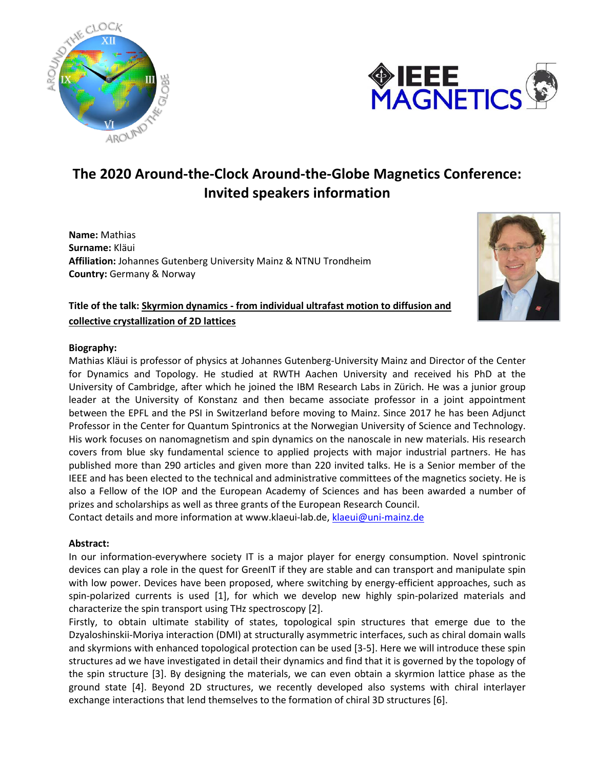



## **The 2020 Around-the-Clock Around-the-Globe Magnetics Conference: Invited speakers information**

**Name:** Mathias **Surname:** Kläui **Affiliation:** Johannes Gutenberg University Mainz & NTNU Trondheim **Country:** Germany & Norway



**Title of the talk: Skyrmion dynamics - from individual ultrafast motion to diffusion and collective crystallization of 2D lattices**

## **Biography:**

Mathias Kläui is professor of physics at Johannes Gutenberg-University Mainz and Director of the Center for Dynamics and Topology. He studied at RWTH Aachen University and received his PhD at the University of Cambridge, after which he joined the IBM Research Labs in Zürich. He was a junior group leader at the University of Konstanz and then became associate professor in a joint appointment between the EPFL and the PSI in Switzerland before moving to Mainz. Since 2017 he has been Adjunct Professor in the Center for Quantum Spintronics at the Norwegian University of Science and Technology. His work focuses on nanomagnetism and spin dynamics on the nanoscale in new materials. His research covers from blue sky fundamental science to applied projects with major industrial partners. He has published more than 290 articles and given more than 220 invited talks. He is a Senior member of the IEEE and has been elected to the technical and administrative committees of the magnetics society. He is also a Fellow of the IOP and the European Academy of Sciences and has been awarded a number of prizes and scholarships as well as three grants of the European Research Council.

Contact details and more information at www.klaeui-lab.de, [klaeui@uni-mainz.de](mailto:klaeui@uni-mainz.de)

## **Abstract:**

In our information-everywhere society IT is a major player for energy consumption. Novel spintronic devices can play a role in the quest for GreenIT if they are stable and can transport and manipulate spin with low power. Devices have been proposed, where switching by energy-efficient approaches, such as spin-polarized currents is used [1], for which we develop new highly spin-polarized materials and characterize the spin transport using THz spectroscopy [2].

Firstly, to obtain ultimate stability of states, topological spin structures that emerge due to the Dzyaloshinskii-Moriya interaction (DMI) at structurally asymmetric interfaces, such as chiral domain walls and skyrmions with enhanced topological protection can be used [3-5]. Here we will introduce these spin structures ad we have investigated in detail their dynamics and find that it is governed by the topology of the spin structure [3]. By designing the materials, we can even obtain a skyrmion lattice phase as the ground state [4]. Beyond 2D structures, we recently developed also systems with chiral interlayer exchange interactions that lend themselves to the formation of chiral 3D structures [6].